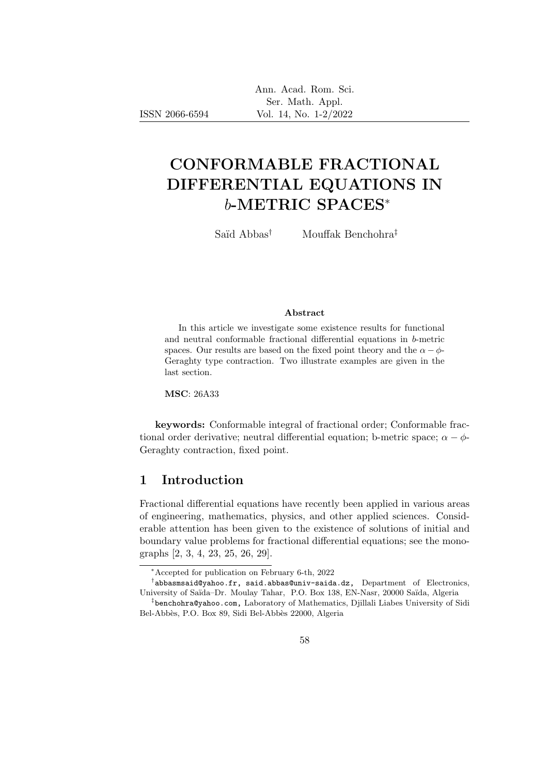# CONFORMABLE FRACTIONAL DIFFERENTIAL EQUATIONS IN b-METRIC SPACES<sup>∗</sup>

Saïd Abbas<sup>†</sup> Mouffak Benchohra<sup>‡</sup>

#### Abstract

In this article we investigate some existence results for functional and neutral conformable fractional differential equations in b-metric spaces. Our results are based on the fixed point theory and the  $\alpha - \phi$ -Geraghty type contraction. Two illustrate examples are given in the last section.

MSC: 26A33

ISSN 2066-6594

keywords: Conformable integral of fractional order; Conformable fractional order derivative; neutral differential equation; b-metric space;  $\alpha - \phi$ -Geraghty contraction, fixed point.

#### 1 Introduction

Fractional differential equations have recently been applied in various areas of engineering, mathematics, physics, and other applied sciences. Considerable attention has been given to the existence of solutions of initial and boundary value problems for fractional differential equations; see the monographs [2, 3, 4, 23, 25, 26, 29].

<sup>∗</sup>Accepted for publication on February 6-th, 2022

 $^{\dagger}$ abbasmsaid@yahoo.fr, said.abbas@univ-saida.dz, Department of Electronics, University of Saïda–Dr. Moulay Tahar, P.O. Box 138, EN-Nasr, 20000 Saïda, Algeria

<sup>‡</sup> benchohra@yahoo.com, Laboratory of Mathematics, Djillali Liabes University of Sidi Bel-Abbès, P.O. Box 89, Sidi Bel-Abbès 22000, Algeria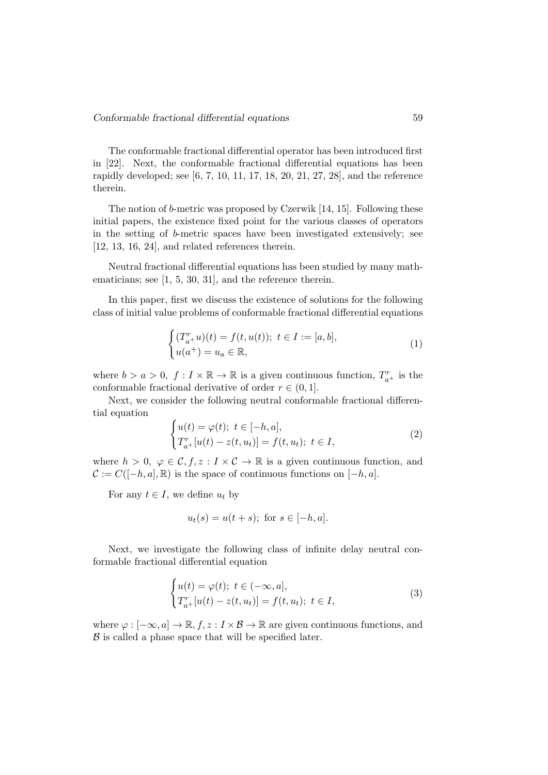The conformable fractional differential operator has been introduced first in [22]. Next, the conformable fractional differential equations has been rapidly developed; see [6, 7, 10, 11, 17, 18, 20, 21, 27, 28], and the reference therein.

The notion of b-metric was proposed by Czerwik [14, 15]. Following these initial papers, the existence fixed point for the various classes of operators in the setting of b-metric spaces have been investigated extensively; see [12, 13, 16, 24], and related references therein.

Neutral fractional differential equations has been studied by many mathematicians; see [1, 5, 30, 31], and the reference therein.

In this paper, first we discuss the existence of solutions for the following class of initial value problems of conformable fractional differential equations

$$
\begin{cases}\n(T_{a+}^r u)(t) = f(t, u(t)); \ t \in I := [a, b], \\
u(a^+) = u_a \in \mathbb{R},\n\end{cases}
$$
\n(1)

where  $b > a > 0$ ,  $f: I \times \mathbb{R} \to \mathbb{R}$  is a given continuous function,  $T_{a+}^r$  is the conformable fractional derivative of order  $r \in (0, 1]$ .

Next, we consider the following neutral conformable fractional differential equation

$$
\begin{cases} u(t) = \varphi(t); \ t \in [-h, a], \\ T_{a+}^r [u(t) - z(t, u_t)] = f(t, u_t); \ t \in I, \end{cases}
$$
\n(2)

where  $h > 0$ ,  $\varphi \in \mathcal{C}, f, z : I \times \mathcal{C} \to \mathbb{R}$  is a given continuous function, and  $\mathcal{C} := C([-h, a], \mathbb{R})$  is the space of continuous functions on  $[-h, a]$ .

For any  $t \in I$ , we define  $u_t$  by

$$
u_t(s) = u(t+s);
$$
 for  $s \in [-h, a].$ 

Next, we investigate the following class of infinite delay neutral conformable fractional differential equation

$$
\begin{cases} u(t) = \varphi(t); \ t \in (-\infty, a], \\ T_{a+}^r [u(t) - z(t, u_t)] = f(t, u_t); \ t \in I, \end{cases}
$$
 (3)

where  $\varphi : [-\infty, a] \to \mathbb{R}, f, z : I \times \mathcal{B} \to \mathbb{R}$  are given continuous functions, and  $\beta$  is called a phase space that will be specified later.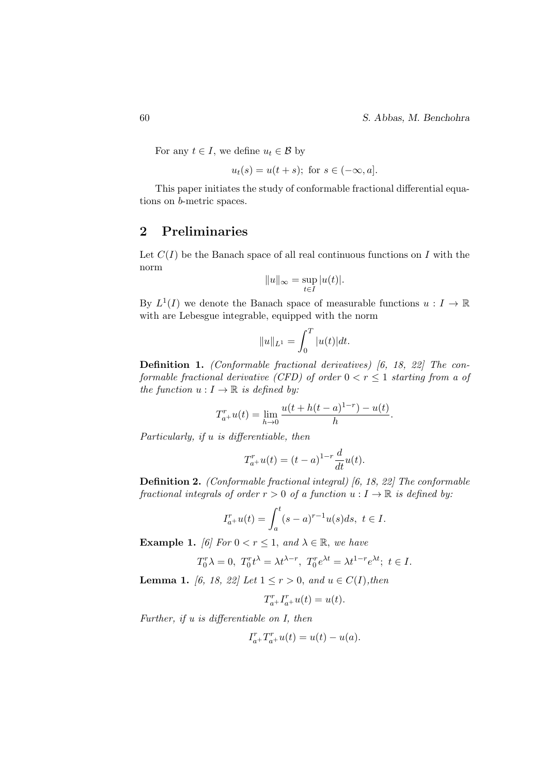60 S. Abbas, M. Benchohra

For any  $t \in I$ , we define  $u_t \in \mathcal{B}$  by

$$
u_t(s) = u(t+s); \text{ for } s \in (-\infty, a].
$$

This paper initiates the study of conformable fractional differential equations on b-metric spaces.

#### 2 Preliminaries

Let  $C(I)$  be the Banach space of all real continuous functions on I with the norm

$$
||u||_{\infty} = \sup_{t \in I} |u(t)|.
$$

By  $L^1(I)$  we denote the Banach space of measurable functions  $u: I \to \mathbb{R}$ with are Lebesgue integrable, equipped with the norm

$$
||u||_{L^1} = \int_0^T |u(t)| dt.
$$

Definition 1. (Conformable fractional derivatives) [6, 18, 22] The conformable fractional derivative (CFD) of order  $0 < r \leq 1$  starting from a of the function  $u: I \to \mathbb{R}$  is defined by:

$$
T_{a+}^{r}u(t) = \lim_{h \to 0} \frac{u(t+h(t-a)^{1-r}) - u(t)}{h}.
$$

Particularly, if u is differentiable, then

$$
T_{a^{+}}^{r}u(t) = (t-a)^{1-r}\frac{d}{dt}u(t).
$$

Definition 2. (Conformable fractional integral) [6, 18, 22] The conformable fractional integrals of order  $r > 0$  of a function  $u : I \to \mathbb{R}$  is defined by:

$$
I_{a+}^r u(t) = \int_a^t (s-a)^{r-1} u(s) ds, \ t \in I.
$$

**Example 1.** [6] For  $0 < r \leq 1$ , and  $\lambda \in \mathbb{R}$ , we have

$$
T_0^r\lambda=0,\ T_0^rt^\lambda=\lambda t^{\lambda-r},\ T_0^re^{\lambda t}=\lambda t^{1-r}e^{\lambda t};\ t\in I.
$$

**Lemma 1.** [6, 18, 22] Let  $1 \le r > 0$ , and  $u \in C(I)$ , then

$$
T_{a+}^r I_{a+}^r u(t) = u(t).
$$

Further, if u is differentiable on I, then

$$
I_{a+}^r T_{a+}^r u(t) = u(t) - u(a).
$$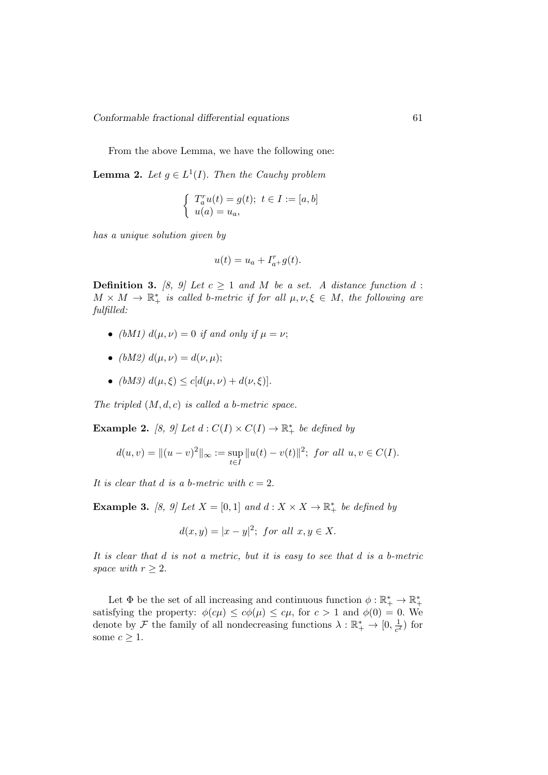From the above Lemma, we have the following one:

**Lemma 2.** Let  $g \in L^1(I)$ . Then the Cauchy problem

$$
\begin{cases}\nT_a^r u(t) = g(t); \ t \in I := [a, b] \\
u(a) = u_a,\n\end{cases}
$$

has a unique solution given by

$$
u(t) = u_a + I_{a+}^r g(t).
$$

**Definition 3.** [8, 9] Let  $c \geq 1$  and M be a set. A distance function d:  $M \times M \to \mathbb{R}^*_+$  is called b-metric if for all  $\mu, \nu, \xi \in M$ , the following are fulfilled:

- (bM1)  $d(\mu, \nu) = 0$  if and only if  $\mu = \nu$ ;
- (bM2)  $d(\mu, \nu) = d(\nu, \mu);$
- (bM3)  $d(\mu, \xi) \le c[d(\mu, \nu) + d(\nu, \xi)].$

The tripled  $(M, d, c)$  is called a b-metric space.

**Example 2.** [8, 9] Let  $d: C(I) \times C(I) \rightarrow \mathbb{R}^*_+$  be defined by

$$
d(u, v) = ||(u - v)^{2}||_{\infty} := \sup_{t \in I} ||u(t) - v(t)||^{2}; \text{ for all } u, v \in C(I).
$$

It is clear that d is a b-metric with  $c = 2$ .

**Example 3.** [8, 9] Let  $X = [0, 1]$  and  $d: X \times X \to \mathbb{R}^*_+$  be defined by

$$
d(x,y) = |x - y|^2; for all x, y \in X.
$$

It is clear that d is not a metric, but it is easy to see that d is a b-metric space with  $r \geq 2$ .

Let  $\Phi$  be the set of all increasing and continuous function  $\phi : \mathbb{R}_+^* \to \mathbb{R}_+^*$ satisfying the property:  $\phi(c\mu) \leq c\phi(\mu) \leq c\mu$ , for  $c > 1$  and  $\phi(0) = 0$ . We denote by  $\mathcal F$  the family of all nondecreasing functions  $\lambda: \mathbb{R}_+^* \to [0, \frac{1}{c^2}]$  $\frac{1}{c^2}$ ) for some  $c \geq 1$ .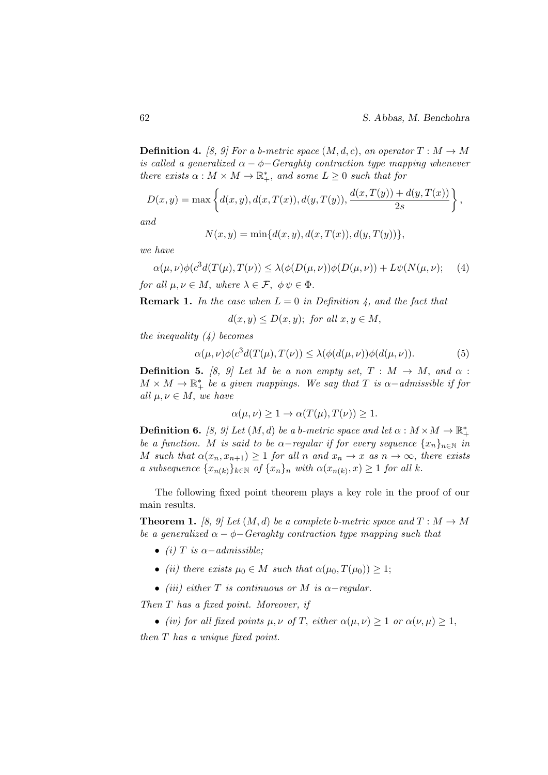**Definition 4.** [8, 9] For a b-metric space  $(M, d, c)$ , an operator  $T : M \to M$ is called a generalized  $\alpha - \phi$ -Geraghty contraction type mapping whenever there exists  $\alpha : M \times M \to \mathbb{R}^*_+$ , and some  $L \geq 0$  such that for

$$
D(x,y) = \max \left\{ d(x,y), d(x,T(x)), d(y,T(y)), \frac{d(x,T(y)) + d(y,T(x))}{2s} \right\},\,
$$

and

$$
N(x, y) = \min\{d(x, y), d(x, T(x)), d(y, T(y))\},\
$$

we have

$$
\alpha(\mu,\nu)\phi(c^3d(T(\mu),T(\nu)) \le \lambda(\phi(D(\mu,\nu))\phi(D(\mu,\nu)) + L\psi(N(\mu,\nu)); \quad (4)
$$

for all  $\mu, \nu \in M$ , where  $\lambda \in \mathcal{F}$ ,  $\phi \psi \in \Phi$ .

**Remark 1.** In the case when  $L = 0$  in Definition 4, and the fact that

$$
d(x, y) \le D(x, y)
$$
; for all  $x, y \in M$ ,

the inequality  $(4)$  becomes

$$
\alpha(\mu,\nu)\phi(c^3d(T(\mu),T(\nu)) \le \lambda(\phi(d(\mu,\nu))\phi(d(\mu,\nu)).\tag{5}
$$

**Definition 5.** [8, 9] Let M be a non empty set,  $T : M \rightarrow M$ , and  $\alpha$ :  $M \times M \to \mathbb{R}^*_+$  be a given mappings. We say that T is  $\alpha$ -admissible if for all  $\mu, \nu \in M$ , we have

$$
\alpha(\mu,\nu) \ge 1 \to \alpha(T(\mu),T(\nu)) \ge 1.
$$

**Definition 6.** [8, 9] Let  $(M, d)$  be a b-metric space and let  $\alpha : M \times M \to \mathbb{R}_+^*$ be a function. M is said to be  $\alpha$ -regular if for every sequence  $\{x_n\}_{n\in\mathbb{N}}$  in M such that  $\alpha(x_n, x_{n+1}) \geq 1$  for all n and  $x_n \to x$  as  $n \to \infty$ , there exists a subsequence  $\{x_{n(k)}\}_{k\in\mathbb{N}}$  of  $\{x_n\}_n$  with  $\alpha(x_{n(k)},x)\geq 1$  for all k.

The following fixed point theorem plays a key role in the proof of our main results.

**Theorem 1.** [8, 9] Let  $(M, d)$  be a complete b-metric space and  $T : M \to M$ be a generalized  $\alpha - \phi$  Geraghty contraction type mapping such that

- (i) T is  $\alpha$  admissible:
- (ii) there exists  $\mu_0 \in M$  such that  $\alpha(\mu_0, T(\mu_0)) > 1$ ;
- (iii) either T is continuous or M is  $\alpha$ -regular.

Then T has a fixed point. Moreover, if

• (iv) for all fixed points  $\mu, \nu$  of T, either  $\alpha(\mu, \nu) \geq 1$  or  $\alpha(\nu, \mu) \geq 1$ , then T has a unique fixed point.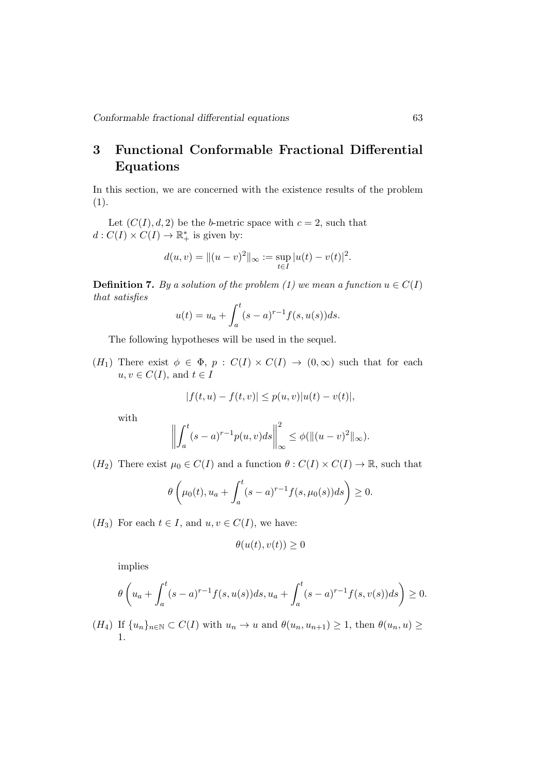## 3 Functional Conformable Fractional Differential Equations

In this section, we are concerned with the existence results of the problem  $(1).$ 

Let  $(C(I), d, 2)$  be the b-metric space with  $c = 2$ , such that  $d: C(I) \times C(I) \to \mathbb{R}^*_+$  is given by:

$$
d(u, v) = ||(u - v)^{2}||_{\infty} := \sup_{t \in I} |u(t) - v(t)|^{2}.
$$

**Definition 7.** By a solution of the problem (1) we mean a function  $u \in C(I)$ that satisfies

$$
u(t) = u_a + \int_a^t (s-a)^{r-1} f(s, u(s)) ds.
$$

The following hypotheses will be used in the sequel.

 $(H_1)$  There exist  $\phi \in \Phi$ ,  $p : C(I) \times C(I) \rightarrow (0, \infty)$  such that for each  $u, v \in C(I)$ , and  $t \in I$ 

$$
|f(t, u) - f(t, v)| \le p(u, v)|u(t) - v(t)|,
$$

with

$$
\left\| \int_a^t (s-a)^{r-1} p(u,v) ds \right\|_{\infty}^2 \leq \phi(\|(u-v)^2\|_{\infty}).
$$

 $(H_2)$  There exist  $\mu_0 \in C(I)$  and a function  $\theta : C(I) \times C(I) \to \mathbb{R}$ , such that

$$
\theta\left(\mu_0(t), u_a + \int_a^t (s-a)^{r-1} f(s, \mu_0(s))ds\right) \ge 0.
$$

 $(H_3)$  For each  $t \in I$ , and  $u, v \in C(I)$ , we have:

$$
\theta(u(t), v(t)) \ge 0
$$

implies

$$
\theta\left(u_a + \int_a^t (s-a)^{r-1} f(s, u(s)) ds, u_a + \int_a^t (s-a)^{r-1} f(s, v(s)) ds\right) \ge 0.
$$

 $(H_4)$  If  ${u_n}_{n\in\mathbb{N}} \subset C(I)$  with  $u_n \to u$  and  $\theta(u_n, u_{n+1}) \geq 1$ , then  $\theta(u_n, u) \geq$ 1.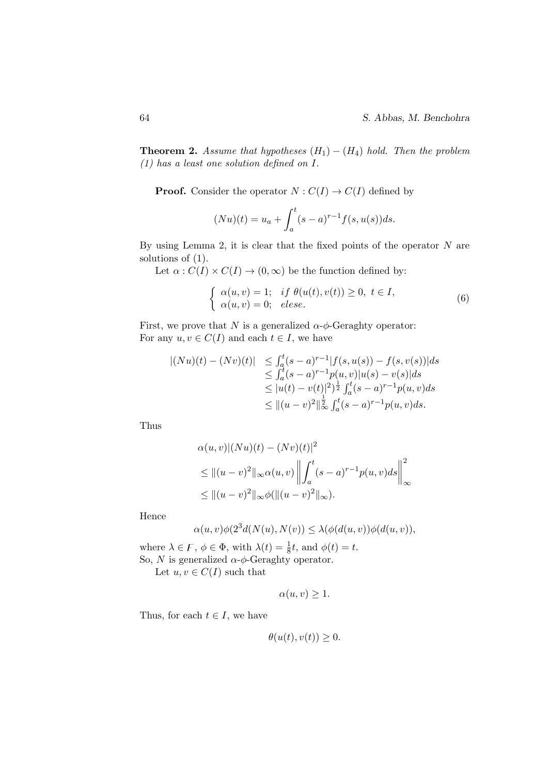**Theorem 2.** Assume that hypotheses  $(H_1) - (H_4)$  hold. Then the problem (1) has a least one solution defined on I.

**Proof.** Consider the operator  $N: C(I) \to C(I)$  defined by

$$
(Nu)(t) = u_a + \int_a^t (s-a)^{r-1} f(s, u(s)) ds.
$$

By using Lemma 2, it is clear that the fixed points of the operator  $N$  are solutions of (1).

Let  $\alpha$ :  $C(I) \times C(I) \rightarrow (0, \infty)$  be the function defined by:

$$
\begin{cases}\n\alpha(u,v) = 1; & if \ \theta(u(t),v(t)) \ge 0, \ t \in I, \\
\alpha(u,v) = 0; & else.\n\end{cases}
$$
\n(6)

First, we prove that N is a generalized  $\alpha$ - $\phi$ -Geraghty operator: For any  $u, v \in C(I)$  and each  $t \in I$ , we have

$$
\begin{array}{lll} |(Nu)(t)-(Nv)(t)|&\leq\int_a^t(s-a)^{r-1}|f(s,u(s))-f(s,v(s))|ds\\ &\leq\int_a^t(s-a)^{r-1}p(u,v)|u(s)-v(s)|ds\\ &\leq |u(t)-v(t)|^2)^{\frac{1}{2}}\int_a^t(s-a)^{r-1}p(u,v)ds\\ &\leq \|(u-v)^2\|_\infty^{\frac{1}{2}}\int_a^t(s-a)^{r-1}p(u,v)ds.\end{array}
$$

Thus

$$
\alpha(u, v) |(Nu)(t) - (Nv)(t)|^2
$$
  
\n
$$
\leq ||(u - v)^2||_{\infty} \alpha(u, v) \left\| \int_a^t (s - a)^{r-1} p(u, v) ds \right\|_{\infty}^2
$$
  
\n
$$
\leq ||(u - v)^2||_{\infty} \phi(||(u - v)^2||_{\infty}).
$$

Hence

$$
\alpha(u,v)\phi(2^3d(N(u),N(v)) \leq \lambda(\phi(d(u,v))\phi(d(u,v)),
$$

where  $\lambda \in \mathcal{F}$ ,  $\phi \in \Phi$ , with  $\lambda(t) = \frac{1}{8}t$ , and  $\phi(t) = t$ . So, N is generalized  $\alpha$ - $\phi$ -Geraghty operator.

Let  $u, v \in C(I)$  such that

$$
\alpha(u, v) \geq 1.
$$

Thus, for each  $t \in I$ , we have

$$
\theta(u(t),v(t))\geq 0.
$$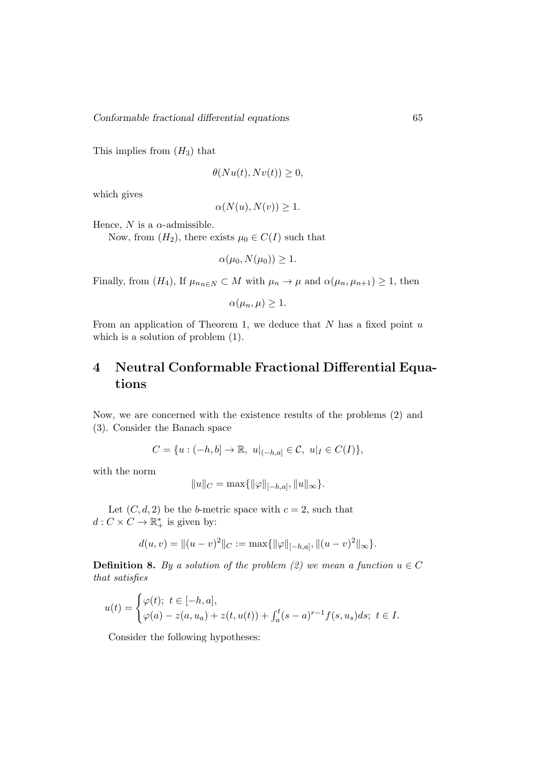This implies from  $(H_3)$  that

$$
\theta(Nu(t), Nv(t)) \ge 0,
$$

which gives

$$
\alpha(N(u), N(v)) \ge 1.
$$

Hence,  $N$  is a  $\alpha$ -admissible.

Now, from  $(H_2)$ , there exists  $\mu_0 \in C(I)$  such that

 $\alpha(\mu_0, N(\mu_0)) > 1.$ 

Finally, from  $(H_4)$ , If  $\mu_{n,n\in\mathbb{N}}\subset M$  with  $\mu_n\to\mu$  and  $\alpha(\mu_n,\mu_{n+1})\geq 1$ , then

 $\alpha(\mu_n,\mu) \geq 1.$ 

From an application of Theorem 1, we deduce that  $N$  has a fixed point  $u$ which is a solution of problem (1).

### 4 Neutral Conformable Fractional Differential Equations

Now, we are concerned with the existence results of the problems (2) and (3). Consider the Banach space

$$
C = \{u : (-h, b] \to \mathbb{R}, \ u|_{(-h, a]} \in \mathcal{C}, \ u|_{I} \in C(I)\},\
$$

with the norm

$$
||u||_C = \max{||\varphi||_{[-h,a]}, ||u||_{\infty}}.
$$

Let  $(C, d, 2)$  be the *b*-metric space with  $c = 2$ , such that  $d: C \times C \to \mathbb{R}_+^*$  is given by:

$$
d(u, v) = ||(u - v)^{2}||_{C} := \max{||\varphi||_{[-h, a]}, ||(u - v)^{2}||_{\infty}}.
$$

**Definition 8.** By a solution of the problem (2) we mean a function  $u \in C$ that satisfies

$$
u(t) = \begin{cases} \varphi(t); \ t \in [-h, a], \\ \varphi(a) - z(a, u_a) + z(t, u(t)) + \int_a^t (s - a)^{r-1} f(s, u_s) ds; \ t \in I. \end{cases}
$$

Consider the following hypotheses: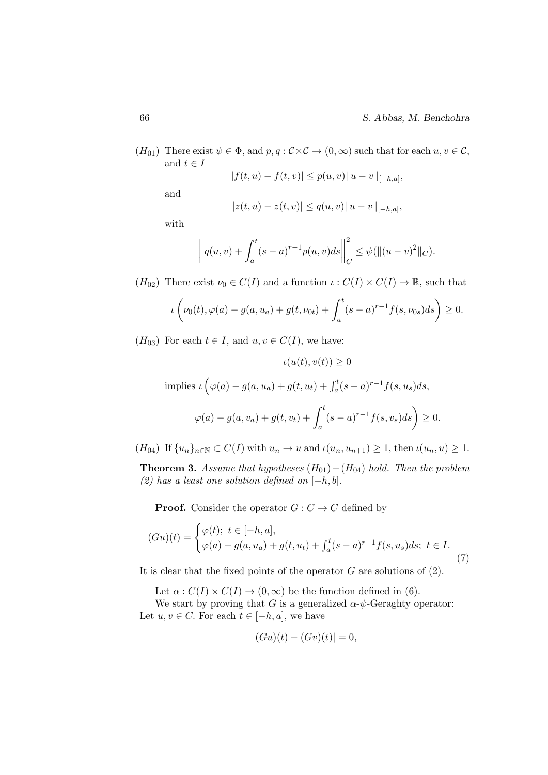$(H_{01})$  There exist  $\psi \in \Phi$ , and  $p, q : \mathcal{C} \times \mathcal{C} \to (0, \infty)$  such that for each  $u, v \in \mathcal{C}$ , and  $t \in I$  $|f(t, u)| \geq f(u, u)$ ko  $||u||$ 

$$
|f(t, u) - f(t, v)| \le p(u, v) ||u - v||_{[-h, a]},
$$

and

$$
|z(t, u) - z(t, v)| \le q(u, v) ||u - v||_{[-h, a]},
$$

with

$$
\left\| q(u,v) + \int_a^t (s-a)^{r-1} p(u,v) ds \right\|_C^2 \leq \psi(\|(u-v)^2\|_C).
$$

 $(H_{02})$  There exist  $\nu_0 \in C(I)$  and a function  $\iota : C(I) \times C(I) \to \mathbb{R}$ , such that

$$
\iota\left(\nu_0(t), \varphi(a) - g(a, u_a) + g(t, \nu_{0t}) + \int_a^t (s-a)^{r-1} f(s, \nu_{0s}) ds\right) \ge 0.
$$

 $(H_{03})$  For each  $t \in I$ , and  $u, v \in C(I)$ , we have:

$$
\iota(u(t), v(t)) \ge 0
$$
  
implies 
$$
\iota(\varphi(a) - g(a, u_a) + g(t, u_t) + \int_a^t (s - a)^{r-1} f(s, u_s) ds,
$$

$$
\varphi(a) - g(a, v_a) + g(t, v_t) + \int_a^t (s - a)^{r-1} f(s, v_s) ds \ge 0.
$$

 $(H_{04})$  If  $\{u_n\}_{n\in\mathbb{N}}\subset C(I)$  with  $u_n\to u$  and  $\iota(u_n, u_{n+1})\geq 1$ , then  $\iota(u_n, u)\geq 1$ .

**Theorem 3.** Assume that hypotheses  $(H_{01}) - (H_{04})$  hold. Then the problem (2) has a least one solution defined on  $[-h, b]$ .

**Proof.** Consider the operator  $G: C \to C$  defined by

$$
(Gu)(t) = \begin{cases} \varphi(t); \ t \in [-h, a], \\ \varphi(a) - g(a, u_a) + g(t, u_t) + \int_a^t (s - a)^{r-1} f(s, u_s) ds; \ t \in I. \end{cases}
$$
\n(7)

It is clear that the fixed points of the operator  $G$  are solutions of  $(2)$ .

Let  $\alpha$ :  $C(I) \times C(I) \rightarrow (0, \infty)$  be the function defined in (6).

We start by proving that G is a generalized  $\alpha$ - $\psi$ -Geraghty operator: Let  $u, v \in C$ . For each  $t \in [-h, a]$ , we have

$$
|(Gu)(t) - (Gv)(t)| = 0,
$$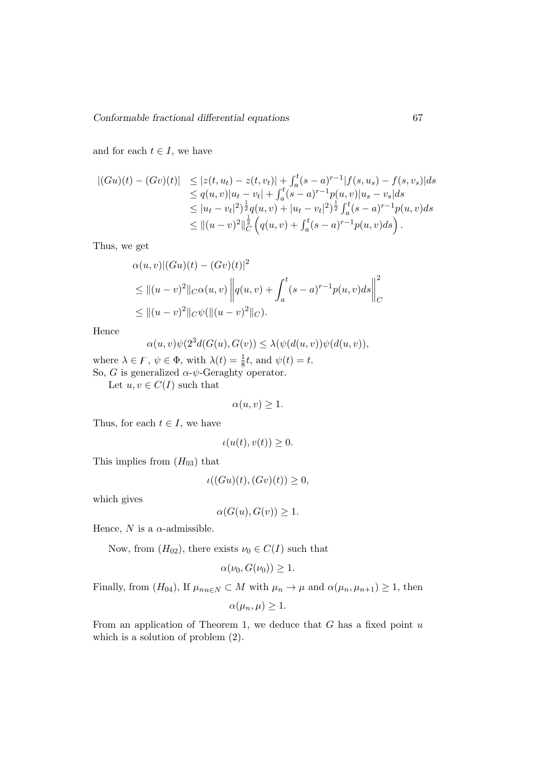and for each  $t \in I$ , we have

$$
\begin{array}{lll} |(Gu)(t) - (Gv)(t)| & \leq |z(t, u_t) - z(t, v_t)| + \int_a^t (s - a)^{r-1} |f(s, u_s) - f(s, v_s)| ds \\ & \leq q(u, v)|u_t - v_t| + \int_a^t (s - a)^{r-1} p(u, v)|u_s - v_s| ds \\ & \leq |u_t - v_t|^2 \Big) \frac{1}{2} q(u, v) + |u_t - v_t|^2 \Big) \frac{1}{2} \int_a^t (s - a)^{r-1} p(u, v) ds \\ & \leq ||(u - v)^2||_C^{\frac{1}{2}} \Big( q(u, v) + \int_a^t (s - a)^{r-1} p(u, v) ds \Big) \,. \end{array}
$$

Thus, we get

$$
\alpha(u, v) | (Gu)(t) - (Gv)(t) |^{2}
$$
  
\n
$$
\leq ||(u - v)^{2}||_{C}\alpha(u, v) \left||q(u, v) + \int_{a}^{t} (s - a)^{r-1} p(u, v) ds \right||_{C}^{2}
$$
  
\n
$$
\leq ||(u - v)^{2}||_{C}\psi(||(u - v)^{2}||_{C}).
$$

Hence

$$
\alpha(u,v)\psi(2^3d(G(u),G(v)) \leq \lambda(\psi(d(u,v))\psi(d(u,v)),
$$

where  $\lambda \in F$ ,  $\psi \in \Phi$ , with  $\lambda(t) = \frac{1}{8}t$ , and  $\psi(t) = t$ .

So, G is generalized  $\alpha$ - $\psi$ -Geraghty operator.

Let  $u, v \in C(I)$  such that

$$
\alpha(u, v) \ge 1.
$$

Thus, for each  $t \in I$ , we have

$$
\iota(u(t), v(t)) \ge 0.
$$

This implies from  $(H_{03})$  that

$$
\iota((Gu)(t), (Gv)(t)) \ge 0,
$$

which gives

$$
\alpha(G(u), G(v)) \ge 1.
$$

Hence, N is a  $\alpha$ -admissible.

Now, from  $(H_{02})$ , there exists  $\nu_0 \in C(I)$  such that

$$
\alpha(\nu_0, G(\nu_0)) \ge 1.
$$

Finally, from  $(H_{04})$ , If  $\mu_{nn\in\mathbb{N}}\subset M$  with  $\mu_n\to\mu$  and  $\alpha(\mu_n,\mu_{n+1})\geq 1$ , then

$$
\alpha(\mu_n,\mu)\geq 1.
$$

From an application of Theorem 1, we deduce that  $G$  has a fixed point  $u$ which is a solution of problem (2).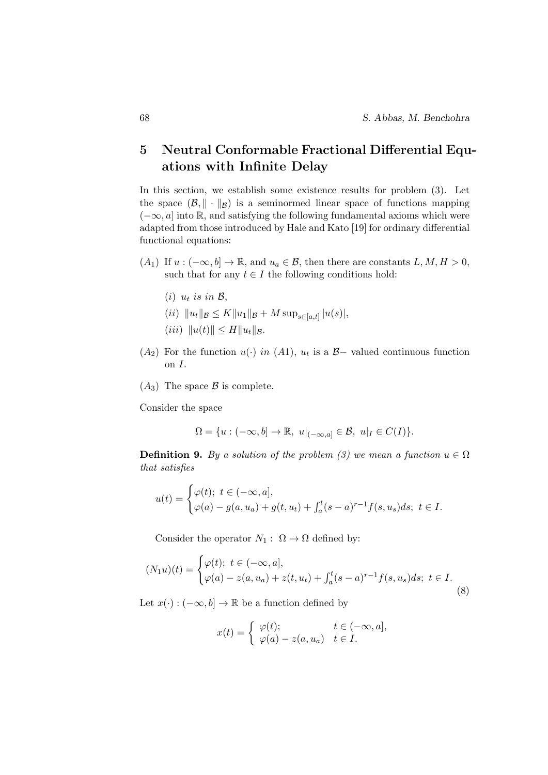### 5 Neutral Conformable Fractional Differential Equations with Infinite Delay

In this section, we establish some existence results for problem (3). Let the space  $(\mathcal{B}, \|\cdot\|_{\mathcal{B}})$  is a seminormed linear space of functions mapping  $(-\infty, a]$  into R, and satisfying the following fundamental axioms which were adapted from those introduced by Hale and Kato [19] for ordinary differential functional equations:

- $(A_1)$  If  $u:(-\infty,b]\to\mathbb{R}$ , and  $u_a\in\mathcal{B}$ , then there are constants  $L, M, H > 0$ , such that for any  $t \in I$  the following conditions hold:
	- (i)  $u_t$  is in  $\mathcal{B}$ ,
	- $(ii)$   $||u_t||_{\mathcal{B}} \leq K||u_1||_{\mathcal{B}} + M \sup_{s \in [a,t]} |u(s)|,$
	- (*iii*)  $||u(t)|| \le H||u_t||_B$ .
- $(A_2)$  For the function  $u(·)$  in  $(A_1)$ ,  $u_t$  is a  $B-$  valued continuous function on I.
- $(A_3)$  The space  $\beta$  is complete.

Consider the space

$$
\Omega = \{ u : (-\infty, b] \to \mathbb{R}, \ u|_{(-\infty, a]} \in \mathcal{B}, \ u|_{I} \in C(I) \}.
$$

**Definition 9.** By a solution of the problem (3) we mean a function  $u \in \Omega$ that satisfies

$$
u(t) = \begin{cases} \varphi(t); \ t \in (-\infty, a], \\ \varphi(a) - g(a, u_a) + g(t, u_t) + \int_a^t (s - a)^{r-1} f(s, u_s) ds; \ t \in I. \end{cases}
$$

Consider the operator  $N_1: \Omega \to \Omega$  defined by:

$$
(N_1u)(t) = \begin{cases} \varphi(t); \ t \in (-\infty, a], \\ \varphi(a) - z(a, u_a) + z(t, u_t) + \int_a^t (s - a)^{r-1} f(s, u_s) ds; \ t \in I. \end{cases}
$$
(8)

Let  $x(\cdot): (-\infty, b] \to \mathbb{R}$  be a function defined by

$$
x(t) = \begin{cases} \varphi(t); & t \in (-\infty, a], \\ \varphi(a) - z(a, u_a) & t \in I. \end{cases}
$$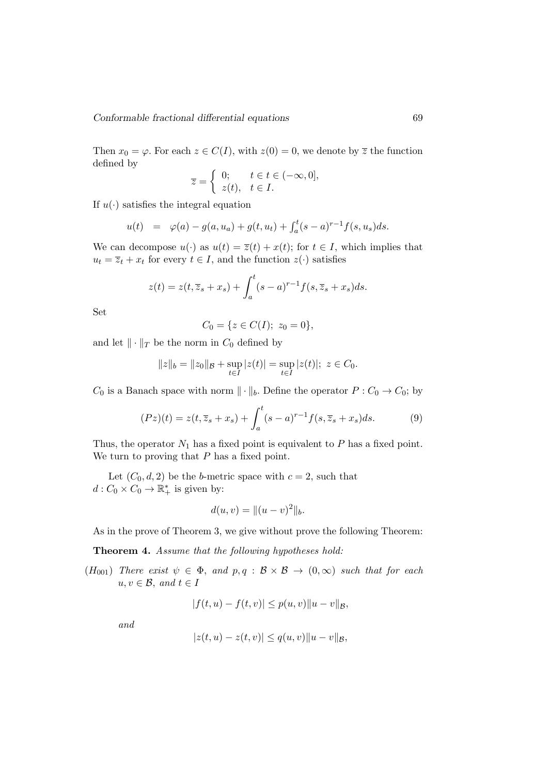Then  $x_0 = \varphi$ . For each  $z \in C(I)$ , with  $z(0) = 0$ , we denote by  $\overline{z}$  the function defined by

$$
\overline{z} = \begin{cases} 0; & t \in t \in (-\infty, 0], \\ z(t), & t \in I. \end{cases}
$$

If  $u(\cdot)$  satisfies the integral equation

$$
u(t) = \varphi(a) - g(a, u_a) + g(t, u_t) + \int_a^t (s - a)^{r-1} f(s, u_s) ds.
$$

We can decompose  $u(\cdot)$  as  $u(t) = \overline{z}(t) + x(t)$ ; for  $t \in I$ , which implies that  $u_t = \overline{z}_t + x_t$  for every  $t \in I$ , and the function  $z(\cdot)$  satisfies

$$
z(t) = z(t, \overline{z}_s + x_s) + \int_a^t (s-a)^{r-1} f(s, \overline{z}_s + x_s) ds.
$$

Set

$$
C_0 = \{ z \in C(I); \ z_0 = 0 \},\
$$

and let  $\|\cdot\|_T$  be the norm in  $C_0$  defined by

$$
||z||_b = ||z_0||_B + \sup_{t \in I} |z(t)| = \sup_{t \in I} |z(t)|; \ z \in C_0.
$$

 $C_0$  is a Banach space with norm  $\|\cdot\|_b$ . Define the operator  $P : C_0 \to C_0$ ; by

$$
(Pz)(t) = z(t, \overline{z}_s + x_s) + \int_a^t (s-a)^{r-1} f(s, \overline{z}_s + x_s) ds.
$$
 (9)

Thus, the operator  $N_1$  has a fixed point is equivalent to  $P$  has a fixed point. We turn to proving that  $P$  has a fixed point.

Let  $(C_0, d, 2)$  be the *b*-metric space with  $c = 2$ , such that  $d: C_0 \times C_0 \to \mathbb{R}^*_+$  is given by:

$$
d(u, v) = ||(u - v)^2||_b.
$$

As in the prove of Theorem 3, we give without prove the following Theorem:

Theorem 4. Assume that the following hypotheses hold:

 $(H_{001})$  There exist  $\psi \in \Phi$ , and  $p, q : \mathcal{B} \times \mathcal{B} \to (0, \infty)$  such that for each  $u, v \in \mathcal{B}$ , and  $t \in I$ 

$$
|f(t, u) - f(t, v)| \le p(u, v) ||u - v||_{\mathcal{B}},
$$

and

$$
|z(t, u) - z(t, v)| \le q(u, v) ||u - v||_{\mathcal{B}},
$$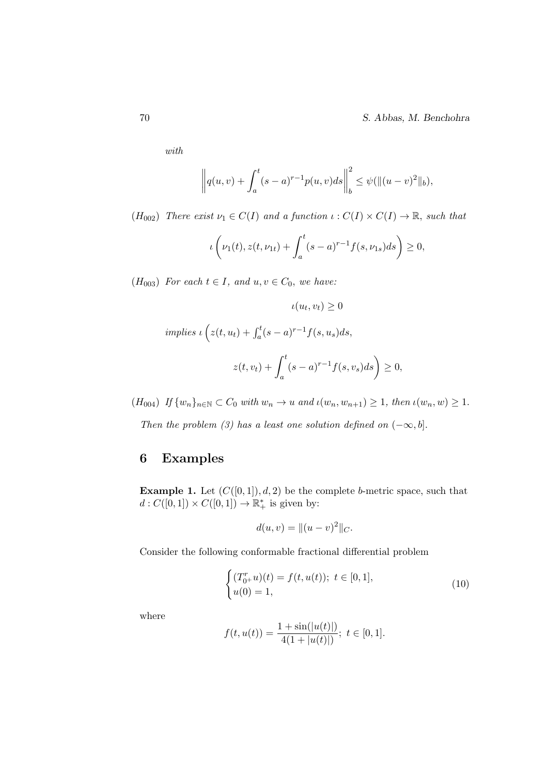70 S. Abbas, M. Benchohra

with

$$
\left\| q(u,v) + \int_a^t (s-a)^{r-1} p(u,v) ds \right\|_b^2 \leq \psi(\|(u-v)^2\|_b),
$$

 $(H_{002})$  There exist  $\nu_1 \in C(I)$  and a function  $\iota : C(I) \times C(I) \to \mathbb{R}$ , such that

$$
\iota\left(\nu_1(t), z(t, \nu_{1t}) + \int_a^t (s-a)^{r-1} f(s, \nu_{1s}) ds\right) \ge 0,
$$

 $(H<sub>003</sub>)$  For each  $t \in I$ , and  $u, v \in C_0$ , we have:

$$
\iota(u_t, v_t) \ge 0
$$
  
implies 
$$
\iota(z(t, u_t) + \int_a^t (s - a)^{r-1} f(s, u_s) ds,
$$
  

$$
z(t, v_t) + \int_a^t (s - a)^{r-1} f(s, v_s) ds \bigg) \ge 0,
$$

 $(H_{004})$  If  $\{w_n\}_{n\in\mathbb{N}}\subset C_0$  with  $w_n\to u$  and  $\iota(w_n, w_{n+1})\geq 1$ , then  $\iota(w_n, w)\geq 1$ .

Then the problem (3) has a least one solution defined on  $(-\infty, b]$ .

### 6 Examples

**Example 1.** Let  $(C([0, 1]), d, 2)$  be the complete b-metric space, such that  $d: C([0,1]) \times C([0,1]) \to \mathbb{R}^*_+$  is given by:

$$
d(u, v) = ||(u - v)^2||_C.
$$

Consider the following conformable fractional differential problem

$$
\begin{cases}\n(T_{0+}^{r}u)(t) = f(t, u(t)); \ t \in [0, 1], \\
u(0) = 1,\n\end{cases}
$$
\n(10)

where

$$
f(t, u(t)) = \frac{1 + \sin(|u(t)|)}{4(1 + |u(t)|)}; \ t \in [0, 1].
$$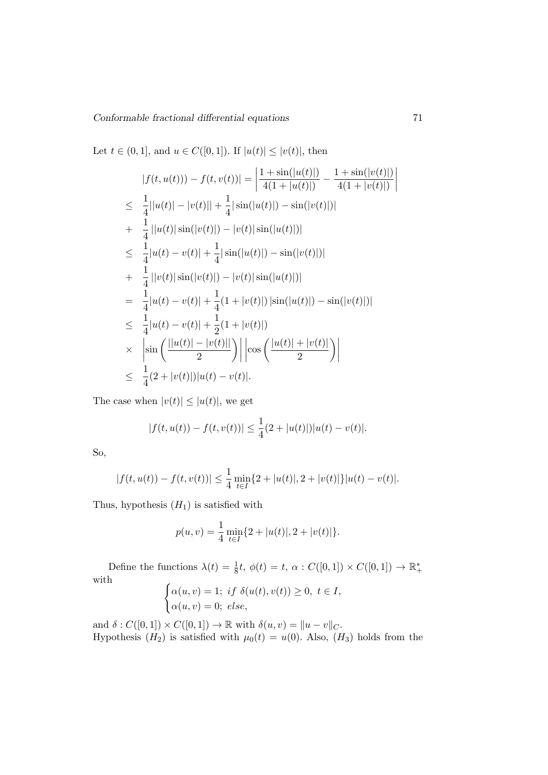Let  $t \in (0, 1]$ , and  $u \in C([0, 1])$ . If  $|u(t)| \leq |v(t)|$ , then

$$
|f(t, u(t)) - f(t, v(t))| = \left| \frac{1 + \sin(|u(t)|)}{4(1 + |u(t)|)} - \frac{1 + \sin(|v(t)|)}{4(1 + |v(t)|)} \right|
$$
  
\n
$$
\leq \frac{1}{4} ||u(t)| - |v(t)|| + \frac{1}{4} |\sin(|u(t)|) - \sin(|v(t)|)|)
$$
  
\n
$$
+ \frac{1}{4} ||u(t)| \sin(|v(t)|) - |v(t)| \sin(|u(t)|)|)
$$
  
\n
$$
\leq \frac{1}{4} |u(t) - v(t)| + \frac{1}{4} |\sin(|u(t)|) - \sin(|v(t)|)|)
$$
  
\n
$$
+ \frac{1}{4} ||v(t)| \sin(|v(t)|) - |v(t)| \sin(|u(t)|)|)
$$
  
\n
$$
= \frac{1}{4} |u(t) - v(t)| + \frac{1}{4} (1 + |v(t)|) |\sin(|u(t)|) - \sin(|v(t)|)|)
$$
  
\n
$$
\leq \frac{1}{4} |u(t) - v(t)| + \frac{1}{2} (1 + |v(t)|)
$$
  
\n
$$
\times \left| \sin \left( \frac{||u(t)| - |v(t)||}{2} \right) \right| |\cos \left( \frac{|u(t)| + |v(t)|}{2} \right) \right|
$$
  
\n
$$
\leq \frac{1}{4} (2 + |v(t)|) |u(t) - v(t)|.
$$

The case when  $|v(t)| \leq |u(t)|$ , we get

$$
|f(t, u(t)) - f(t, v(t))| \le \frac{1}{4}(2 + |u(t)|)|u(t) - v(t)|.
$$

So,

$$
|f(t, u(t)) - f(t, v(t))| \le \frac{1}{4} \min_{t \in I} \{2 + |u(t)|, 2 + |v(t)|\} |u(t) - v(t)|.
$$

Thus, hypothesis  $(H_1)$  is satisfied with

$$
p(u, v) = \frac{1}{4} \min_{t \in I} \{2 + |u(t)|, 2 + |v(t)|\}.
$$

Define the functions  $\lambda(t) = \frac{1}{8}t$ ,  $\phi(t) = t$ ,  $\alpha$ :  $C([0, 1]) \times C([0, 1]) \rightarrow \mathbb{R}_{+}^{*}$ with  $\int \alpha(u,v) = 1; \text{ if } \delta(u(t),v(t)) \geq 0, \text{ } t \in I,$ 

$$
\begin{cases}\n\alpha(u,v) = 0; \text{ else,} \\
\alpha(u,v) = 0; \text{ else,}\n\end{cases}
$$

and  $\delta: C([0,1]) \times C([0,1]) \to \mathbb{R}$  with  $\delta(u, v) = ||u - v||_C$ . Hypothesis  $(H_2)$  is satisfied with  $\mu_0(t) = u(0)$ . Also,  $(H_3)$  holds from the

 $\overline{\phantom{a}}$  $\overline{\phantom{a}}$  $\overline{\phantom{a}}$  $\overline{\phantom{a}}$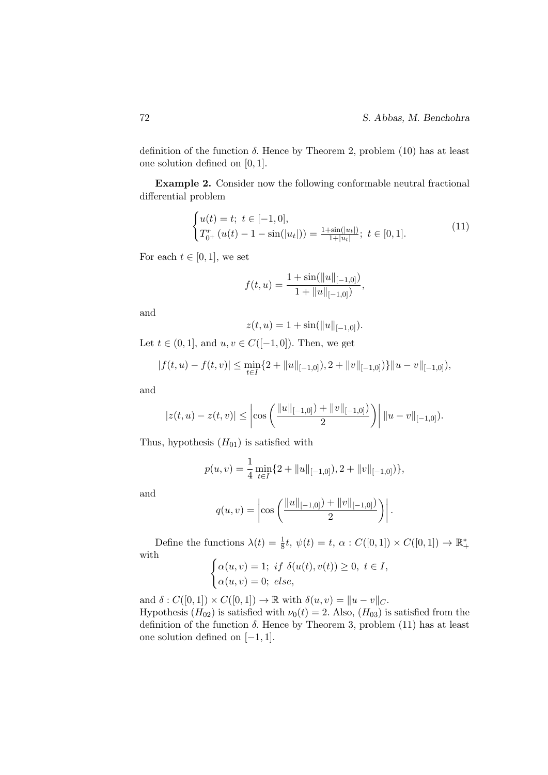definition of the function  $\delta$ . Hence by Theorem 2, problem (10) has at least one solution defined on [0, 1].

Example 2. Consider now the following conformable neutral fractional differential problem

$$
\begin{cases} u(t) = t; \ t \in [-1, 0], \\ T_{0+}^{r} (u(t) - 1 - \sin(|u_{t}|)) = \frac{1 + \sin(|u_{t}|)}{1 + |u_{t}|}; \ t \in [0, 1]. \end{cases}
$$
(11)

For each  $t \in [0, 1]$ , we set

$$
f(t, u) = \frac{1 + \sin(||u||_{[-1,0]})}{1 + ||u||_{[-1,0]})},
$$

and

$$
z(t, u) = 1 + \sin(||u||_{[-1,0]}).
$$

Let  $t \in (0, 1]$ , and  $u, v \in C([-1, 0])$ . Then, we get

$$
|f(t, u) - f(t, v)| \le \min_{t \in I} \{2 + ||u||_{[-1, 0]}), 2 + ||v||_{[-1, 0]})\} ||u - v||_{[-1, 0]}),
$$

and

$$
|z(t, u) - z(t, v)| \leq \left| \cos \left( \frac{\|u\|_{[-1, 0]}) + \|v\|_{[-1, 0]}}{2} \right) \right| \|u - v\|_{[-1, 0]}).
$$

Thus, hypothesis  $(H_{01})$  is satisfied with

$$
p(u, v) = \frac{1}{4} \min_{t \in I} \{2 + ||u||_{[-1,0]}), 2 + ||v||_{[-1,0]})\},\,
$$

and

$$
q(u,v) = \left|\cos\left(\frac{\|u\|_{[-1,0]}) + \|v\|_{[-1,0]}}{2}\right)\right|.
$$

Define the functions  $\lambda(t) = \frac{1}{8}t$ ,  $\psi(t) = t$ ,  $\alpha$ :  $C([0, 1]) \times C([0, 1]) \rightarrow \mathbb{R}_{+}^{*}$ with

$$
\begin{cases} \alpha(u,v) = 1; \text{ if } \delta(u(t),v(t)) \ge 0, \ t \in I, \\ \alpha(u,v) = 0; \ \text{else}, \end{cases}
$$

and  $\delta: C([0,1]) \times C([0,1]) \to \mathbb{R}$  with  $\delta(u, v) = ||u - v||_C$ . Hypothesis  $(H_{02})$  is satisfied with  $\nu_0(t) = 2$ . Also,  $(H_{03})$  is satisfied from the definition of the function  $\delta$ . Hence by Theorem 3, problem (11) has at least one solution defined on [−1, 1].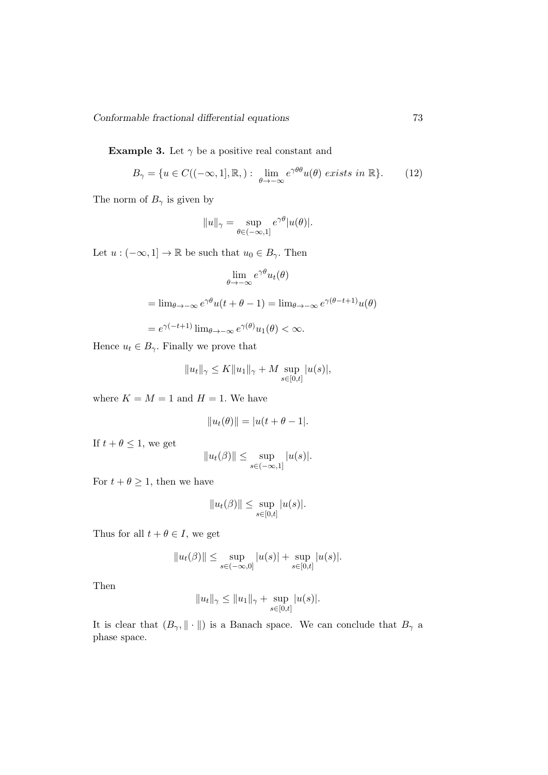**Example 3.** Let  $\gamma$  be a positive real constant and

$$
B_{\gamma} = \{ u \in C((-\infty, 1], \mathbb{R},) : \lim_{\theta \to -\infty} e^{\gamma \theta \theta} u(\theta) \text{ exists in } \mathbb{R} \}. \tag{12}
$$

The norm of  $B_{\gamma}$  is given by

$$
||u||_{\gamma} = \sup_{\theta \in (-\infty, 1]} e^{\gamma \theta} |u(\theta)|.
$$

Let  $u : (-\infty, 1] \to \mathbb{R}$  be such that  $u_0 \in B_\gamma$ . Then

$$
\lim_{\theta \to -\infty} e^{\gamma \theta} u_t(\theta)
$$
  
= 
$$
\lim_{\theta \to -\infty} e^{\gamma \theta} u(t + \theta - 1) = \lim_{\theta \to -\infty} e^{\gamma (\theta - t + 1)} u(\theta)
$$
  
= 
$$
e^{\gamma (-t+1)} \lim_{\theta \to -\infty} e^{\gamma (\theta)} u_1(\theta) < \infty.
$$

Hence  $u_t \in B_\gamma$ . Finally we prove that

$$
||u_t||_{\gamma} \le K||u_1||_{\gamma} + M \sup_{s \in [0,t]} |u(s)|,
$$

where  $K = M = 1$  and  $H = 1$ . We have

$$
||u_t(\theta)|| = |u(t + \theta - 1|).
$$

If  $t + \theta \leq 1$ , we get

$$
||u_t(\beta)|| \leq \sup_{s \in (-\infty,1]} |u(s)|.
$$

For  $t+\theta\geq 1,$  then we have

$$
||u_t(\beta)|| \le \sup_{s \in [0,t]} |u(s)|.
$$

Thus for all  $t + \theta \in I$ , we get

$$
||u_t(\beta)|| \le \sup_{s \in (-\infty,0]} |u(s)| + \sup_{s \in [0,t]} |u(s)|.
$$

Then

$$
||u_t||_{\gamma} \le ||u_1||_{\gamma} + \sup_{s \in [0,t]} |u(s)|.
$$

It is clear that  $(B_{\gamma}, \|\cdot\|)$  is a Banach space. We can conclude that  $B_{\gamma}$  a phase space.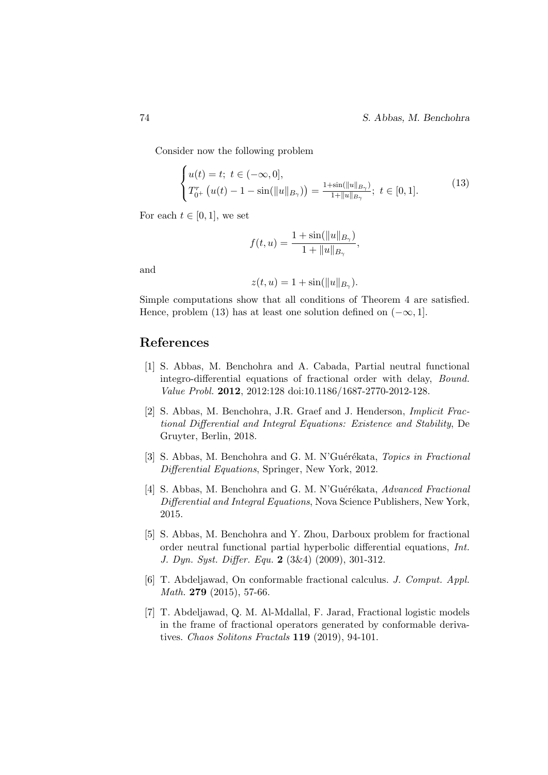Consider now the following problem

$$
\begin{cases} u(t) = t; \ t \in (-\infty, 0], \\ T_{0^+}^r \left( u(t) - 1 - \sin(\|u\|_{B_\gamma}) \right) = \frac{1 + \sin(\|u\|_{B_\gamma})}{1 + \|u\|_{B_\gamma}}; \ t \in [0, 1]. \end{cases}
$$
(13)

For each  $t \in [0, 1]$ , we set

$$
f(t, u) = \frac{1 + \sin(||u||_{B_{\gamma}})}{1 + ||u||_{B_{\gamma}}},
$$

and

$$
z(t, u) = 1 + \sin(||u||_{B_{\gamma}}).
$$

Simple computations show that all conditions of Theorem 4 are satisfied. Hence, problem (13) has at least one solution defined on  $(-\infty, 1]$ .

### References

- [1] S. Abbas, M. Benchohra and A. Cabada, Partial neutral functional integro-differential equations of fractional order with delay, Bound. Value Probl. 2012, 2012:128 doi:10.1186/1687-2770-2012-128.
- [2] S. Abbas, M. Benchohra, J.R. Graef and J. Henderson, Implicit Fractional Differential and Integral Equations: Existence and Stability, De Gruyter, Berlin, 2018.
- [3] S. Abbas, M. Benchohra and G. M. N'Guérékata, Topics in Fractional Differential Equations, Springer, New York, 2012.
- [4] S. Abbas, M. Benchohra and G. M. N'Guérékata, Advanced Fractional Differential and Integral Equations, Nova Science Publishers, New York, 2015.
- [5] S. Abbas, M. Benchohra and Y. Zhou, Darboux problem for fractional order neutral functional partial hyperbolic differential equations, Int. J. Dyn. Syst. Differ. Equ. 2 (3&4) (2009), 301-312.
- [6] T. Abdeljawad, On conformable fractional calculus. J. Comput. Appl. Math. **279** (2015), 57-66.
- [7] T. Abdeljawad, Q. M. Al-Mdallal, F. Jarad, Fractional logistic models in the frame of fractional operators generated by conformable derivatives. Chaos Solitons Fractals 119 (2019), 94-101.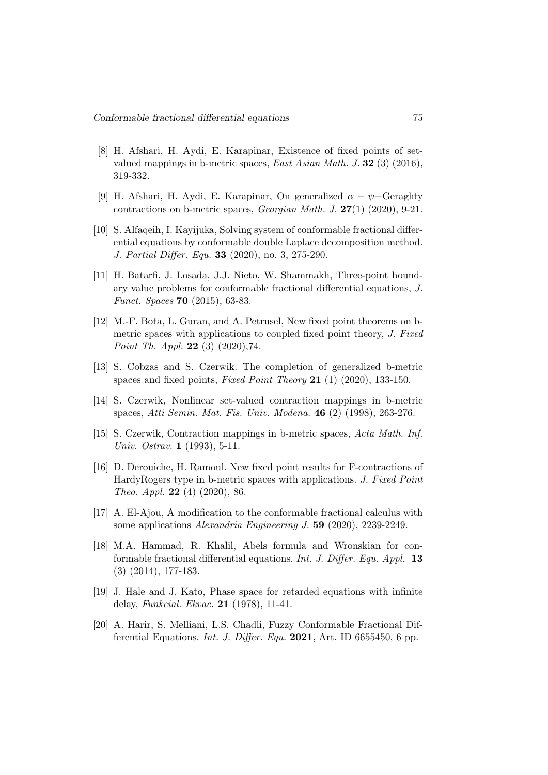- [8] H. Afshari, H. Aydi, E. Karapinar, Existence of fixed points of setvalued mappings in b-metric spaces, *East Asian Math. J.* **32** (3) (2016), 319-332.
- [9] H. Afshari, H. Aydi, E. Karapinar, On generalized  $\alpha \psi$ –Geraghty contractions on b-metric spaces, Georgian Math. J. 27(1) (2020), 9-21.
- [10] S. Alfaqeih, I. Kayijuka, Solving system of conformable fractional differential equations by conformable double Laplace decomposition method. J. Partial Differ. Equ. 33 (2020), no. 3, 275-290.
- [11] H. Batarfi, J. Losada, J.J. Nieto, W. Shammakh, Three-point boundary value problems for conformable fractional differential equations, J. Funct. Spaces 70 (2015), 63-83.
- [12] M.-F. Bota, L. Guran, and A. Petrusel, New fixed point theorems on bmetric spaces with applications to coupled fixed point theory, J. Fixed Point Th. Appl. 22 (3) (2020),74.
- [13] S. Cobzas and S. Czerwik. The completion of generalized b-metric spaces and fixed points, Fixed Point Theory 21 (1) (2020), 133-150.
- [14] S. Czerwik, Nonlinear set-valued contraction mappings in b-metric spaces, Atti Semin. Mat. Fis. Univ. Modena. 46 (2) (1998), 263-276.
- [15] S. Czerwik, Contraction mappings in b-metric spaces, Acta Math. Inf. Univ. Ostrav. 1 (1993), 5-11.
- [16] D. Derouiche, H. Ramoul. New fixed point results for F-contractions of HardyRogers type in b-metric spaces with applications. J. Fixed Point Theo. Appl. 22 (4) (2020), 86.
- [17] A. El-Ajou, A modification to the conformable fractional calculus with some applications Alexandria Engineering J. 59 (2020), 2239-2249.
- [18] M.A. Hammad, R. Khalil, Abels formula and Wronskian for conformable fractional differential equations. Int. J. Differ. Equ. Appl. 13 (3) (2014), 177-183.
- [19] J. Hale and J. Kato, Phase space for retarded equations with infinite delay, Funkcial. Ekvac. 21 (1978), 11-41.
- [20] A. Harir, S. Melliani, L.S. Chadli, Fuzzy Conformable Fractional Differential Equations. *Int. J. Differ. Equ.* 2021, Art. ID 6655450, 6 pp.